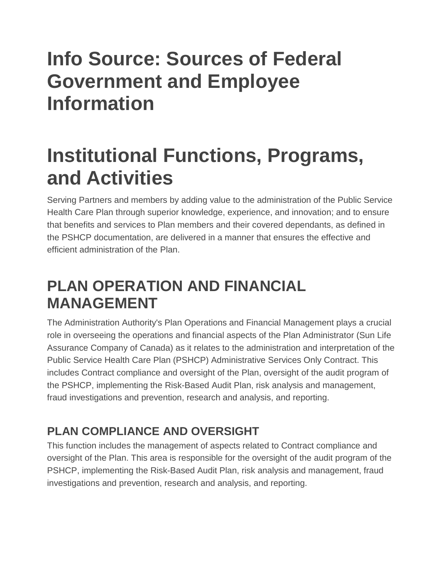# **Info Source: Sources of Federal Government and Employee Information**

# **Institutional Functions, Programs, and Activities**

Serving Partners and members by adding value to the administration of the Public Service Health Care Plan through superior knowledge, experience, and innovation; and to ensure that benefits and services to Plan members and their covered dependants, as defined in the PSHCP documentation, are delivered in a manner that ensures the effective and efficient administration of the Plan.

### **PLAN OPERATION AND FINANCIAL MANAGEMENT**

The Administration Authority's Plan Operations and Financial Management plays a crucial role in overseeing the operations and financial aspects of the Plan Administrator (Sun Life Assurance Company of Canada) as it relates to the administration and interpretation of the Public Service Health Care Plan (PSHCP) Administrative Services Only Contract. This includes Contract compliance and oversight of the Plan, oversight of the audit program of the PSHCP, implementing the Risk-Based Audit Plan, risk analysis and management, fraud investigations and prevention, research and analysis, and reporting.

### **PLAN COMPLIANCE AND OVERSIGHT**

This function includes the management of aspects related to Contract compliance and oversight of the Plan. This area is responsible for the oversight of the audit program of the PSHCP, implementing the Risk-Based Audit Plan, risk analysis and management, fraud investigations and prevention, research and analysis, and reporting.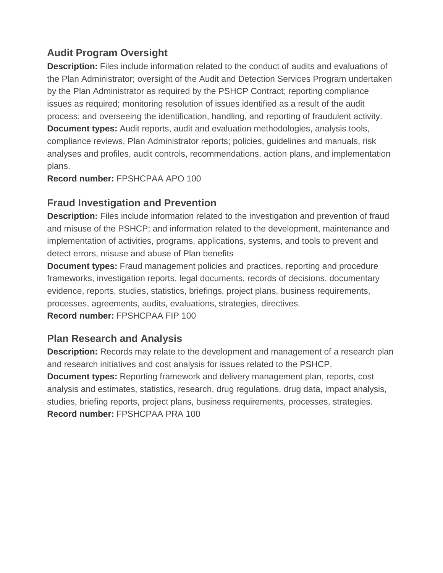#### **Audit Program Oversight**

**Description:** Files include information related to the conduct of audits and evaluations of the Plan Administrator; oversight of the Audit and Detection Services Program undertaken by the Plan Administrator as required by the PSHCP Contract; reporting compliance issues as required; monitoring resolution of issues identified as a result of the audit process; and overseeing the identification, handling, and reporting of fraudulent activity. **Document types:** Audit reports, audit and evaluation methodologies, analysis tools, compliance reviews, Plan Administrator reports; policies, guidelines and manuals, risk analyses and profiles, audit controls, recommendations, action plans, and implementation plans.

**Record number:** FPSHCPAA APO 100

#### **Fraud Investigation and Prevention**

**Description:** Files include information related to the investigation and prevention of fraud and misuse of the PSHCP; and information related to the development, maintenance and implementation of activities, programs, applications, systems, and tools to prevent and detect errors, misuse and abuse of Plan benefits

**Document types:** Fraud management policies and practices, reporting and procedure frameworks, investigation reports, legal documents, records of decisions, documentary evidence, reports, studies, statistics, briefings, project plans, business requirements, processes, agreements, audits, evaluations, strategies, directives. **Record number:** FPSHCPAA FIP 100

#### **Plan Research and Analysis**

**Description:** Records may relate to the development and management of a research plan and research initiatives and cost analysis for issues related to the PSHCP.

**Document types:** Reporting framework and delivery management plan, reports, cost analysis and estimates, statistics, research, drug regulations, drug data, impact analysis, studies, briefing reports, project plans, business requirements, processes, strategies. **Record number:** FPSHCPAA PRA 100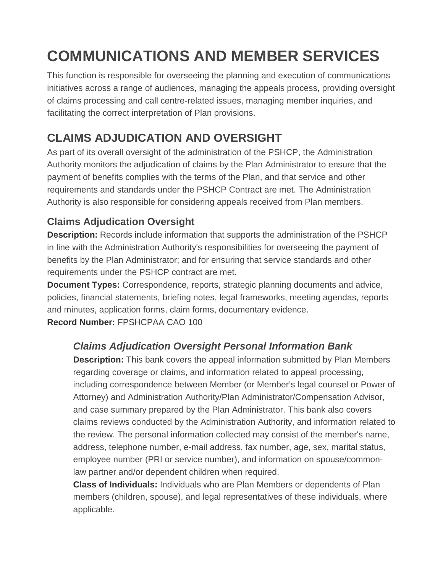## **COMMUNICATIONS AND MEMBER SERVICES**

This function is responsible for overseeing the planning and execution of communications initiatives across a range of audiences, managing the appeals process, providing oversight of claims processing and call centre-related issues, managing member inquiries, and facilitating the correct interpretation of Plan provisions.

### **CLAIMS ADJUDICATION AND OVERSIGHT**

As part of its overall oversight of the administration of the PSHCP, the Administration Authority monitors the adjudication of claims by the Plan Administrator to ensure that the payment of benefits complies with the terms of the Plan, and that service and other requirements and standards under the PSHCP Contract are met. The Administration Authority is also responsible for considering appeals received from Plan members.

#### **Claims Adjudication Oversight**

**Description:** Records include information that supports the administration of the PSHCP in line with the Administration Authority's responsibilities for overseeing the payment of benefits by the Plan Administrator; and for ensuring that service standards and other requirements under the PSHCP contract are met.

**Document Types:** Correspondence, reports, strategic planning documents and advice, policies, financial statements, briefing notes, legal frameworks, meeting agendas, reports and minutes, application forms, claim forms, documentary evidence. **Record Number:** FPSHCPAA CAO 100

#### *Claims Adjudication Oversight Personal Information Bank*

**Description:** This bank covers the appeal information submitted by Plan Members regarding coverage or claims, and information related to appeal processing, including correspondence between Member (or Member's legal counsel or Power of Attorney) and Administration Authority/Plan Administrator/Compensation Advisor, and case summary prepared by the Plan Administrator. This bank also covers claims reviews conducted by the Administration Authority, and information related to the review. The personal information collected may consist of the member's name, address, telephone number, e-mail address, fax number, age, sex, marital status, employee number (PRI or service number), and information on spouse/commonlaw partner and/or dependent children when required.

**Class of Individuals:** Individuals who are Plan Members or dependents of Plan members (children, spouse), and legal representatives of these individuals, where applicable.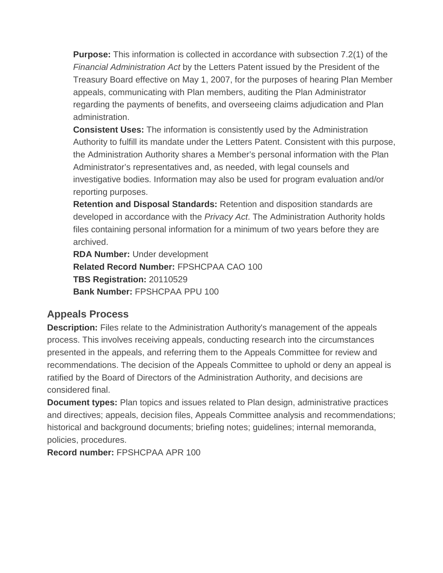**Purpose:** This information is collected in accordance with subsection 7.2(1) of the *Financial Administration Act* by the Letters Patent issued by the President of the Treasury Board effective on May 1, 2007, for the purposes of hearing Plan Member appeals, communicating with Plan members, auditing the Plan Administrator regarding the payments of benefits, and overseeing claims adjudication and Plan administration.

**Consistent Uses:** The information is consistently used by the Administration Authority to fulfill its mandate under the Letters Patent. Consistent with this purpose, the Administration Authority shares a Member's personal information with the Plan Administrator's representatives and, as needed, with legal counsels and investigative bodies. Information may also be used for program evaluation and/or reporting purposes.

**Retention and Disposal Standards:** Retention and disposition standards are developed in accordance with the *Privacy Act*. The Administration Authority holds files containing personal information for a minimum of two years before they are archived.

**RDA Number:** Under development **Related Record Number:** FPSHCPAA CAO 100 **TBS Registration:** 20110529 **Bank Number:** FPSHCPAA PPU 100

#### **Appeals Process**

**Description:** Files relate to the Administration Authority's management of the appeals process. This involves receiving appeals, conducting research into the circumstances presented in the appeals, and referring them to the Appeals Committee for review and recommendations. The decision of the Appeals Committee to uphold or deny an appeal is ratified by the Board of Directors of the Administration Authority, and decisions are considered final.

**Document types:** Plan topics and issues related to Plan design, administrative practices and directives; appeals, decision files, Appeals Committee analysis and recommendations; historical and background documents; briefing notes; guidelines; internal memoranda, policies, procedures.

**Record number:** FPSHCPAA APR 100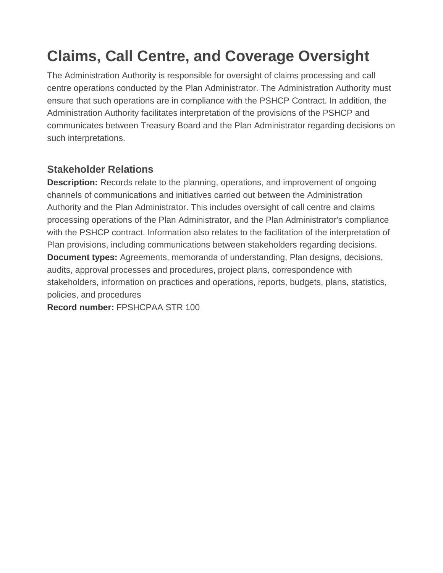### **Claims, Call Centre, and Coverage Oversight**

The Administration Authority is responsible for oversight of claims processing and call centre operations conducted by the Plan Administrator. The Administration Authority must ensure that such operations are in compliance with the PSHCP Contract. In addition, the Administration Authority facilitates interpretation of the provisions of the PSHCP and communicates between Treasury Board and the Plan Administrator regarding decisions on such interpretations.

#### **Stakeholder Relations**

**Description:** Records relate to the planning, operations, and improvement of ongoing channels of communications and initiatives carried out between the Administration Authority and the Plan Administrator. This includes oversight of call centre and claims processing operations of the Plan Administrator, and the Plan Administrator's compliance with the PSHCP contract. Information also relates to the facilitation of the interpretation of Plan provisions, including communications between stakeholders regarding decisions. **Document types:** Agreements, memoranda of understanding, Plan designs, decisions, audits, approval processes and procedures, project plans, correspondence with stakeholders, information on practices and operations, reports, budgets, plans, statistics, policies, and procedures

**Record number:** FPSHCPAA STR 100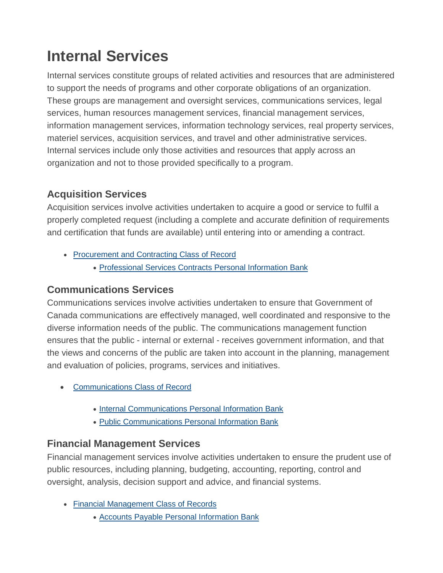### **Internal Services**

Internal services constitute groups of related activities and resources that are administered to support the needs of programs and other corporate obligations of an organization. These groups are management and oversight services, communications services, legal services, human resources management services, financial management services, information management services, information technology services, real property services, materiel services, acquisition services, and travel and other administrative services. Internal services include only those activities and resources that apply across an organization and not to those provided specifically to a program.

#### **Acquisition Services**

Acquisition services involve activities undertaken to acquire a good or service to fulfil a properly completed request (including a complete and accurate definition of requirements and certification that funds are available) until entering into or amending a contract.

- [Procurement](http://www.pshcp.ca/media/1694/PSHCPbooklet-E.pdf#prn912) and Contracting Class of Record
	- [Professional](http://www.pshcp.ca/atip/completed-access-to-information-requests.aspx#psu912) Services Contracts Personal Information Bank

#### **Communications Services**

Communications services involve activities undertaken to ensure that Government of Canada communications are effectively managed, well coordinated and responsive to the diverse information needs of the public. The communications management function ensures that the public - internal or external - receives government information, and that the views and concerns of the public are taken into account in the planning, management and evaluation of policies, programs, services and initiatives.

- [Communications](http://laws-lois.justice.gc.ca/eng/acts/a-1/#prn939) Class of Record
	- Internal [Communications](http://laws-lois.justice.gc.ca/eng/acts/P-21/#psu915) Personal Information Bank
	- Public [Communications](http://www.infosource.gc.ca/emp/emp02-eng.asp#psu914) Personal Information Bank

#### **Financial Management Services**

Financial management services involve activities undertaken to ensure the prudent use of public resources, including planning, budgeting, accounting, reporting, control and oversight, analysis, decision support and advice, and financial systems.

- Financial [Management](http://www.infosource.gc.ca/emp/emp02-eng.asp#prn914) Class of Records
	- Accounts Payable Personal [Information](http://www.pshcp.ca/atip.aspx#psu931) Bank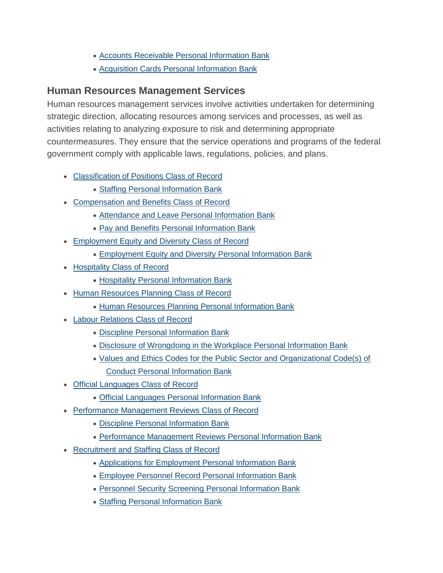- Accounts Receivable Personal [Information](http://www.infosource.gc.ca/emp/emp03-eng.asp#psu932) Bank
- Acquisition Cards Personal [Information](http://www.infosource.gc.ca/emp/emp03-eng.asp#psu940) Bank

#### **Human Resources Management Services**

Human resources management services involve activities undertaken for determining strategic direction, allocating resources among services and processes, as well as activities relating to analyzing exposure to risk and determining appropriate countermeasures. They ensure that the service operations and programs of the federal government comply with applicable laws, regulations, policies, and plans.

- [Classification](http://www.infosource.gc.ca/emp/emp02-eng.asp#prn919) of Positions Class of Record
	- Staffing Personal [Information](http://www.infosource.gc.ca/emp/emp03-eng.asp#pse902) Bank
- [Compensation](http://www.infosource.gc.ca/emp/emp03-eng.asp#prn941) and Benefits Class of Record
	- [Attendance](http://www.infosource.gc.ca/emp/emp03-eng.asp#pse903) and Leave Personal Information Bank
	- Pay and Benefits Personal [Information](http://www.infosource.gc.ca/emp/emp03-eng.asp#pse904) Bank
- [Employment](http://www.infosource.gc.ca/emp/emp03-eng.asp#prn942) Equity and Diversity Class of Record
	- [Employment](http://www.infosource.gc.ca/emp/emp03-eng.asp#pse918) Equity and Diversity Personal Information Bank
- [Hospitality](http://www.infosource.gc.ca/emp/emp03-eng.asp#prn933) Class of Record
	- Hospitality Personal [Information](http://www.infosource.gc.ca/emp/emp02-eng.asp#psu908) Bank
- Human [Resources](http://www.infosource.gc.ca/emp/emp03-eng.asp#prn949) Planning Class of Record
	- Human Resources Planning Personal [Information](http://www.infosource.gc.ca/emp/emp02-eng.asp#psu935) Bank
- Labour [Relations](http://www.infosource.gc.ca/emp/emp02-eng.asp#prn926) Class of Record
	- Discipline Personal [Information](http://www.infosource.gc.ca/emp/emp02-eng.asp#pse911) Bank
	- Disclosure of [Wrongdoing](http://www.infosource.gc.ca/emp/emp03-eng.asp#psu906) in the Workplace Personal Information Bank
	- Values and Ethics Codes for the Public Sector and [Organizational](http://www.infosource.gc.ca/emp/emp03-eng.asp#pse915) Code(s) of Conduct Personal [Information](http://www.infosource.gc.ca/emp/emp03-eng.asp#pse915) Bank
- Official [Languages](http://www.infosource.gc.ca/emp/emp03-eng.asp#prn923) Class of Record
	- Official Languages Personal [Information](http://www.infosource.gc.ca/emp/emp03-eng.asp#pse906) Bank
- Performance [Management](http://www.infosource.gc.ca/emp/emp02-eng.asp#prn946) Reviews Class of Record
	- Discipline Personal [Information](http://www.infosource.gc.ca/emp/emp03-eng.asp#pse911) Bank
	- Performance [Management](http://www.infosource.gc.ca/emp/emp03-eng.asp#pse912) Reviews Personal Information Bank
- [Recruitment](http://www.infosource.gc.ca/emp/emp02-eng.asp#prn920) and Staffing Class of Record
	- Applications for [Employment](http://www.infosource.gc.ca/emp/emp03-eng.asp#psu911) Personal Information Bank
	- Employee Personnel Record Personal [Information](http://www.infosource.gc.ca/emp/emp03-eng.asp#pse901) Bank
	- Personnel Security Screening Personal [Information](http://www.infosource.gc.ca/emp/emp03-eng.asp#psu917) Bank
	- Staffing Personal [Information](http://www.infosource.gc.ca/emp/emp03-eng.asp#pse902) Bank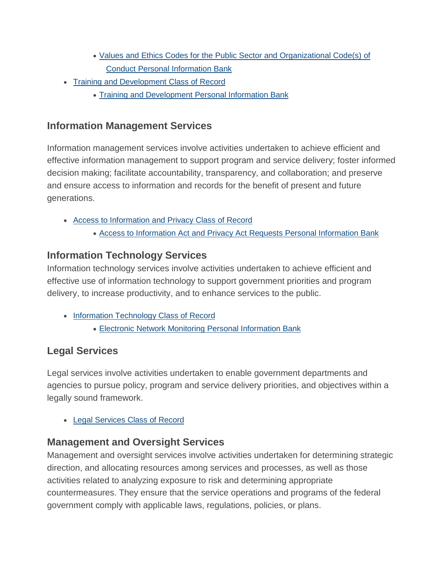- Values and Ethics Codes for the Public Sector and [Organizational](http://www.infosource.gc.ca/emp/emp02-eng.asp#pse915) Code(s) of Conduct Personal [Information](http://www.infosource.gc.ca/emp/emp02-eng.asp#pse915) Bank
- Training and [Development](http://www.infosource.gc.ca/emp/emp02-eng.asp#prn927) Class of Record
	- Training and [Development](http://www.infosource.gc.ca/emp/emp03-eng.asp#pse905) Personal Information Bank

#### **Information Management Services**

Information management services involve activities undertaken to achieve efficient and effective information management to support program and service delivery; foster informed decision making; facilitate accountability, transparency, and collaboration; and preserve and ensure access to information and records for the benefit of present and future generations.

- Access to [Information](http://www.infosource.gc.ca/emp/emp02-eng.asp#prn930) and Privacy Class of Record
	- Access to [Information](http://www.infosource.gc.ca/emp/emp03-eng.asp#psu901) Act and Privacy Act Requests Personal Information Bank

#### **Information Technology Services**

Information technology services involve activities undertaken to achieve efficient and effective use of information technology to support government priorities and program delivery, to increase productivity, and to enhance services to the public.

- Information [Technology](http://www.infosource.gc.ca/emp/emp03-eng.asp#prn932) Class of Record
	- Electronic Network Monitoring Personal [Information](http://www.infosource.gc.ca/emp/emp03-eng.asp#psu905) Bank

#### **Legal Services**

Legal services involve activities undertaken to enable government departments and agencies to pursue policy, program and service delivery priorities, and objectives within a legally sound framework.

• Legal [Services](http://www.infosource.gc.ca/emp/emp02-eng.asp#prn902) Class of Record

#### **Management and Oversight Services**

Management and oversight services involve activities undertaken for determining strategic direction, and allocating resources among services and processes, as well as those activities related to analyzing exposure to risk and determining appropriate countermeasures. They ensure that the service operations and programs of the federal government comply with applicable laws, regulations, policies, or plans.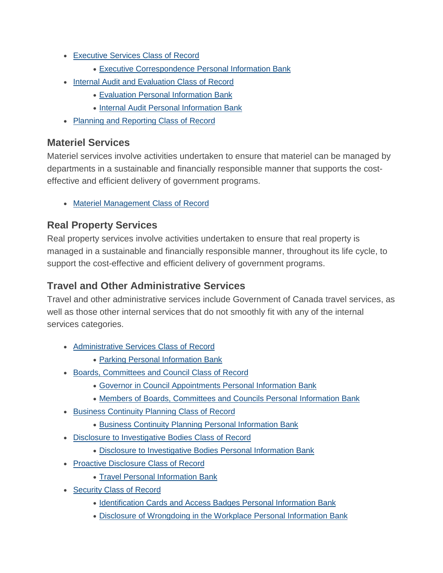- [Executive](http://www.infosource.gc.ca/emp/emp02-eng.asp#prn943) Services Class of Record
	- Executive [Correspondence](http://www.infosource.gc.ca/emp/emp03-eng.asp#psu902) Personal Information Bank
- Internal Audit and [Evaluation](http://www.infosource.gc.ca/emp/emp03-eng.asp#prn916) Class of Record
	- Evaluation Personal [Information](http://www.infosource.gc.ca/emp/emp02-eng.asp#psu942) Bank
	- Internal Audit Personal [Information](http://www.infosource.gc.ca/emp/emp03-eng.asp#psu941) Bank
- Planning and [Reporting](http://www.infosource.gc.ca/emp/emp02-eng.asp#prn947) Class of Record

#### **Materiel Services**

Materiel services involve activities undertaken to ensure that materiel can be managed by departments in a sustainable and financially responsible manner that supports the costeffective and efficient delivery of government programs.

• Materiel [Management](http://www.infosource.gc.ca/emp/emp02-eng.asp#prn945) Class of Record

#### **Real Property Services**

Real property services involve activities undertaken to ensure that real property is managed in a sustainable and financially responsible manner, throughout its life cycle, to support the cost-effective and efficient delivery of government programs.

#### **Travel and Other Administrative Services**

Travel and other administrative services include Government of Canada travel services, as well as those other internal services that do not smoothly fit with any of the internal services categories.

- [Administrative](http://www.infosource.gc.ca/emp/emp02-eng.asp#prn901) Services Class of Record
	- Parking Personal [Information](http://www.infosource.gc.ca/emp/emp02-eng.asp#pse914) Bank
- Boards, [Committees](http://www.infosource.gc.ca/emp/emp03-eng.asp#prn938) and Council Class of Record
	- Governor in Council [Appointments](http://www.infosource.gc.ca/emp/emp03-eng.asp#psu918) Personal Information Bank
	- Members of Boards, [Committees](http://www.infosource.gc.ca/emp/emp03-eng.asp#psu919) and Councils Personal Information Bank
- Business [Continuity](http://www.infosource.gc.ca/emp/emp03-eng.asp#prn928) Planning Class of Record
	- Business Continuity Planning Personal [Information](http://www.infosource.gc.ca/emp/emp02-eng.asp#psu903) Bank
- Disclosure to [Investigative](http://www.infosource.gc.ca/emp/emp02-eng.asp#prn937) Bodies Class of Record
	- Disclosure to [Investigative](http://www.infosource.gc.ca/emp/emp03-eng.asp#psu913) Bodies Personal Information Bank
- Proactive [Disclosure](http://www.infosource.gc.ca/emp/emp03-eng.asp#prn935) Class of Record
	- Travel Personal [Information](http://www.infosource.gc.ca/emp/emp02-eng.asp#psu909) Bank
- [Security](http://www.infosource.gc.ca/emp/emp02-eng.asp#prn931) Class of Record
	- [Identification](http://www.infosource.gc.ca/emp/emp03-eng.asp#pse917) Cards and Access Badges Personal Information Bank
	- Disclosure of [Wrongdoing](http://www.infosource.gc.ca/emp/emp03-eng.asp#psu906) in the Workplace Personal Information Bank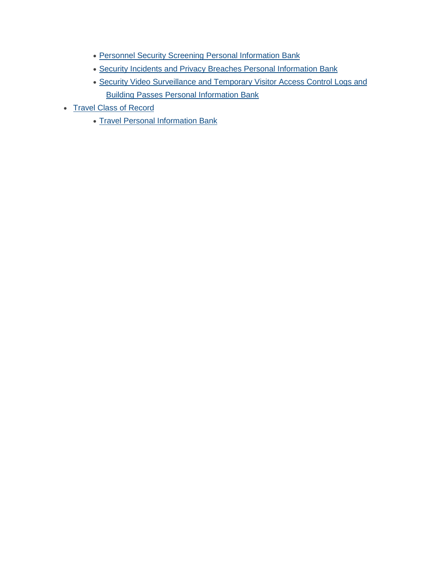- Personnel Security Screening Personal [Information](http://www.infosource.gc.ca/emp/emp02-eng.asp#psu917) Bank
- Security Incidents and Privacy Breaches Personal [Information](http://www.infosource.gc.ca/emp/emp02-eng.asp#psu939) Bank
- Security Video [Surveillance](http://www.infosource.gc.ca/emp/emp03-eng.asp#psu9072) and Temporary Visitor Access Control Logs and Building Passes Personal [Information](http://www.infosource.gc.ca/emp/emp03-eng.asp#psu9072) Bank
- Travel Class of [Record](http://www.infosource.gc.ca/emp/emp03-eng.asp#prn934)
	- Travel Personal [Information](http://www.infosource.gc.ca/emp/emp03-eng.asp#psu909) Bank